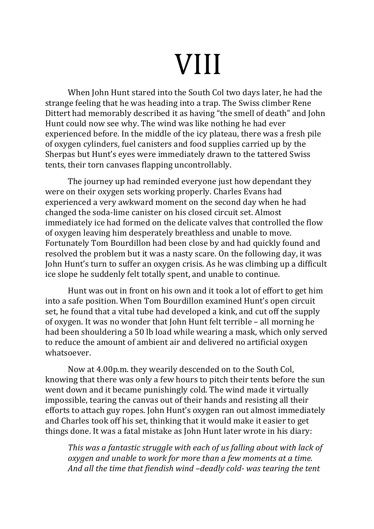# VIII

When John Hunt stared into the South Col two days later, he had the strange feeling that he was heading into a trap. The Swiss climber Rene Dittert had memorably described it as having "the smell of death" and John Hunt could now see why. The wind was like nothing he had ever experienced before. In the middle of the icy plateau, there was a fresh pile of oxygen cylinders, fuel canisters and food supplies carried up by the Sherpas but Hunt's eyes were immediately drawn to the tattered Swiss tents, their torn canvases flapping uncontrollably.

The journey up had reminded everyone just how dependant they were on their oxygen sets working properly. Charles Evans had experienced a very awkward moment on the second day when he had changed the soda-lime canister on his closed circuit set. Almost immediately ice had formed on the delicate valves that controlled the flow of oxygen leaving him desperately breathless and unable to move. Fortunately Tom Bourdillon had been close by and had quickly found and resolved the problem but it was a nasty scare. On the following day, it was John Hunt's turn to suffer an oxygen crisis. As he was climbing up a difficult ice slope he suddenly felt totally spent, and unable to continue.

Hunt was out in front on his own and it took a lot of effort to get him into a safe position. When Tom Bourdillon examined Hunt's open circuit set, he found that a vital tube had developed a kink, and cut off the supply of oxygen. It was no wonder that John Hunt felt terrible – all morning he had been shouldering a 50 lb load while wearing a mask, which only served to reduce the amount of ambient air and delivered no artificial oxygen whatsoever. 

Now at 4.00p.m. they wearily descended on to the South Col, knowing that there was only a few hours to pitch their tents before the sun went down and it became punishingly cold. The wind made it virtually impossible, tearing the canvas out of their hands and resisting all their efforts to attach guy ropes. John Hunt's oxygen ran out almost immediately and Charles took off his set, thinking that it would make it easier to get things done. It was a fatal mistake as John Hunt later wrote in his diary:

*This* was a fantastic struggle with each of us falling about with lack of *oxygen and unable to work for more than a few moments at a time.* And all the time that fiendish wind -deadly cold- was tearing the tent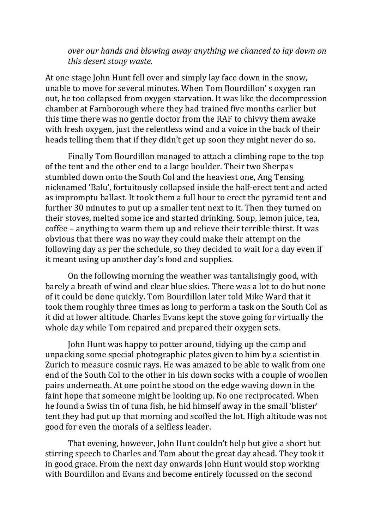## *over* our hands and blowing away anything we chanced to lay down on *this desert stony waste.*

At one stage John Hunt fell over and simply lay face down in the snow, unable to move for several minutes. When Tom Bourdillon's oxygen ran out, he too collapsed from oxygen starvation. It was like the decompression chamber at Farnborough where they had trained five months earlier but this time there was no gentle doctor from the RAF to chivvy them awake with fresh oxygen, just the relentless wind and a voice in the back of their heads telling them that if they didn't get up soon they might never do so.

Finally Tom Bourdillon managed to attach a climbing rope to the top of the tent and the other end to a large boulder. Their two Sherpas stumbled down onto the South Col and the heaviest one, Ang Tensing nicknamed 'Balu', fortuitously collapsed inside the half-erect tent and acted as impromptu ballast. It took them a full hour to erect the pyramid tent and further 30 minutes to put up a smaller tent next to it. Then they turned on their stoves, melted some ice and started drinking. Soup, lemon juice, tea,  $\frac{1}{\pi}$  coffee – anything to warm them up and relieve their terrible thirst. It was obvious that there was no way they could make their attempt on the following day as per the schedule, so they decided to wait for a day even if it meant using up another day's food and supplies.

On the following morning the weather was tantalisingly good, with barely a breath of wind and clear blue skies. There was a lot to do but none of it could be done quickly. Tom Bourdillon later told Mike Ward that it took them roughly three times as long to perform a task on the South Col as it did at lower altitude. Charles Evans kept the stove going for virtually the whole day while Tom repaired and prepared their oxygen sets.

John Hunt was happy to potter around, tidying up the camp and unpacking some special photographic plates given to him by a scientist in Zurich to measure cosmic rays. He was amazed to be able to walk from one end of the South Col to the other in his down socks with a couple of woollen pairs underneath. At one point he stood on the edge waving down in the faint hope that someone might be looking up. No one reciprocated. When he found a Swiss tin of tuna fish, he hid himself away in the small 'blister' tent they had put up that morning and scoffed the lot. High altitude was not good for even the morals of a selfless leader.

That evening, however, John Hunt couldn't help but give a short but stirring speech to Charles and Tom about the great day ahead. They took it in good grace. From the next day onwards John Hunt would stop working with Bourdillon and Evans and become entirely focussed on the second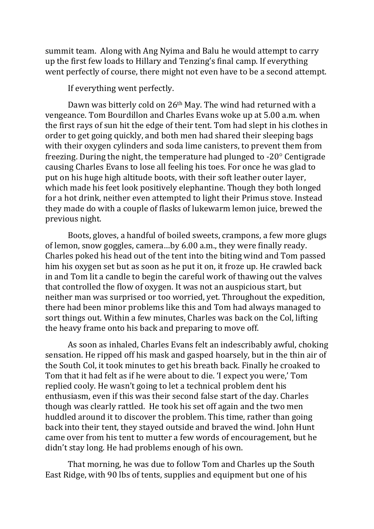summit team. Along with Ang Nyima and Balu he would attempt to carry up the first few loads to Hillary and Tenzing's final camp. If everything went perfectly of course, there might not even have to be a second attempt.

If everything went perfectly.

Dawn was bitterly cold on 26<sup>th</sup> May. The wind had returned with a vengeance. Tom Bourdillon and Charles Evans woke up at 5.00 a.m. when the first rays of sun hit the edge of their tent. Tom had slept in his clothes in order to get going quickly, and both men had shared their sleeping bags with their oxygen cylinders and soda lime canisters, to prevent them from freezing. During the night, the temperature had plunged to  $-20^\circ$  Centigrade causing Charles Evans to lose all feeling his toes. For once he was glad to put on his huge high altitude boots, with their soft leather outer layer, which made his feet look positively elephantine. Though they both longed for a hot drink, neither even attempted to light their Primus stove. Instead they made do with a couple of flasks of lukewarm lemon juice, brewed the previous night.

Boots, gloves, a handful of boiled sweets, crampons, a few more glugs of lemon, snow goggles, camera...by 6.00 a.m., they were finally ready. Charles poked his head out of the tent into the biting wind and Tom passed him his oxygen set but as soon as he put it on, it froze up. He crawled back in and Tom lit a candle to begin the careful work of thawing out the valves that controlled the flow of oxygen. It was not an auspicious start, but neither man was surprised or too worried, yet. Throughout the expedition, there had been minor problems like this and Tom had always managed to sort things out. Within a few minutes, Charles was back on the Col, lifting the heavy frame onto his back and preparing to move off.

As soon as inhaled, Charles Evans felt an indescribably awful, choking sensation. He ripped off his mask and gasped hoarsely, but in the thin air of the South Col, it took minutes to get his breath back. Finally he croaked to Tom that it had felt as if he were about to die. 'I expect you were,' Tom replied cooly. He wasn't going to let a technical problem dent his enthusiasm, even if this was their second false start of the day. Charles though was clearly rattled. He took his set off again and the two men huddled around it to discover the problem. This time, rather than going back into their tent, they stayed outside and braved the wind. John Hunt came over from his tent to mutter a few words of encouragement, but he didn't stay long. He had problems enough of his own.

That morning, he was due to follow Tom and Charles up the South East Ridge, with 90 lbs of tents, supplies and equipment but one of his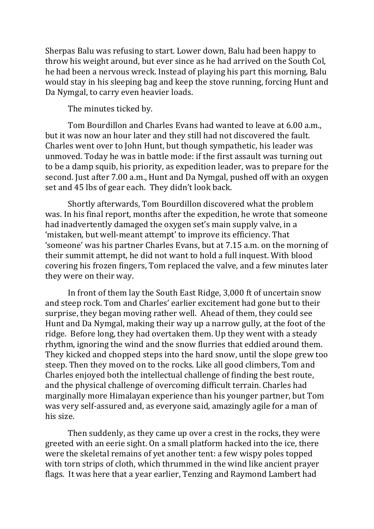Sherpas Balu was refusing to start. Lower down, Balu had been happy to throw his weight around, but ever since as he had arrived on the South Col, he had been a nervous wreck. Instead of playing his part this morning, Balu would stay in his sleeping bag and keep the stove running, forcing Hunt and Da Nymgal, to carry even heavier loads.

The minutes ticked by.

Tom Bourdillon and Charles Evans had wanted to leave at 6.00 a.m., but it was now an hour later and they still had not discovered the fault. Charles went over to John Hunt, but though sympathetic, his leader was unmoved. Today he was in battle mode: if the first assault was turning out to be a damp squib, his priority, as expedition leader, was to prepare for the second. Just after 7.00 a.m., Hunt and Da Nymgal, pushed off with an oxygen set and 45 lbs of gear each. They didn't look back.

Shortly afterwards, Tom Bourdillon discovered what the problem was. In his final report, months after the expedition, he wrote that someone had inadvertently damaged the oxygen set's main supply valve, in a 'mistaken, but well-meant attempt' to improve its efficiency. That 'someone' was his partner Charles Evans, but at 7.15 a.m. on the morning of their summit attempt, he did not want to hold a full inquest. With blood covering his frozen fingers, Tom replaced the valve, and a few minutes later they were on their way.

In front of them lay the South East Ridge, 3,000 ft of uncertain snow and steep rock. Tom and Charles' earlier excitement had gone but to their surprise, they began moving rather well. Ahead of them, they could see Hunt and Da Nymgal, making their way up a narrow gully, at the foot of the ridge. Before long, they had overtaken them. Up they went with a steady rhythm, ignoring the wind and the snow flurries that eddied around them. They kicked and chopped steps into the hard snow, until the slope grew too steep. Then they moved on to the rocks. Like all good climbers, Tom and Charles enjoyed both the intellectual challenge of finding the best route, and the physical challenge of overcoming difficult terrain. Charles had marginally more Himalayan experience than his younger partner, but Tom was very self-assured and, as everyone said, amazingly agile for a man of his size.

Then suddenly, as they came up over a crest in the rocks, they were greeted with an eerie sight. On a small platform hacked into the ice, there were the skeletal remains of yet another tent: a few wispy poles topped with torn strips of cloth, which thrummed in the wind like ancient prayer flags. It was here that a year earlier, Tenzing and Raymond Lambert had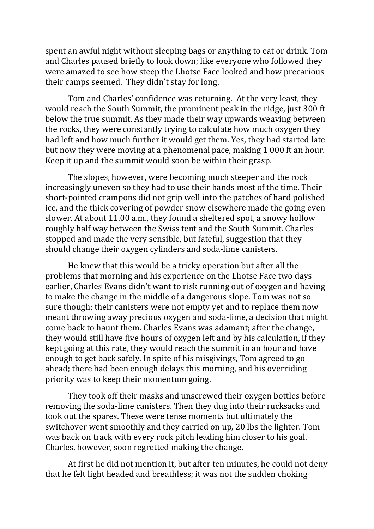spent an awful night without sleeping bags or anything to eat or drink. Tom and Charles paused briefly to look down; like everyone who followed they were amazed to see how steep the Lhotse Face looked and how precarious their camps seemed. They didn't stay for long.

Tom and Charles' confidence was returning. At the very least, they would reach the South Summit, the prominent peak in the ridge, just 300 ft below the true summit. As they made their way upwards weaving between the rocks, they were constantly trying to calculate how much oxygen they had left and how much further it would get them. Yes, they had started late but now they were moving at a phenomenal pace, making 1 000 ft an hour. Keep it up and the summit would soon be within their grasp.

The slopes, however, were becoming much steeper and the rock increasingly uneven so they had to use their hands most of the time. Their short-pointed crampons did not grip well into the patches of hard polished ice, and the thick covering of powder snow elsewhere made the going even slower. At about 11.00 a.m., they found a sheltered spot, a snowy hollow roughly half way between the Swiss tent and the South Summit. Charles stopped and made the very sensible, but fateful, suggestion that they should change their oxygen cylinders and soda-lime canisters.

He knew that this would be a tricky operation but after all the problems that morning and his experience on the Lhotse Face two days earlier, Charles Evans didn't want to risk running out of oxygen and having to make the change in the middle of a dangerous slope. Tom was not so sure though: their canisters were not empty yet and to replace them now meant throwing away precious oxygen and soda-lime, a decision that might come back to haunt them. Charles Evans was adamant; after the change, they would still have five hours of oxygen left and by his calculation, if they kept going at this rate, they would reach the summit in an hour and have enough to get back safely. In spite of his misgivings, Tom agreed to go ahead; there had been enough delays this morning, and his overriding priority was to keep their momentum going.

They took off their masks and unscrewed their oxygen bottles before removing the soda-lime canisters. Then they dug into their rucksacks and took out the spares. These were tense moments but ultimately the switchover went smoothly and they carried on up, 20 lbs the lighter. Tom was back on track with every rock pitch leading him closer to his goal. Charles, however, soon regretted making the change.

At first he did not mention it, but after ten minutes, he could not deny that he felt light headed and breathless; it was not the sudden choking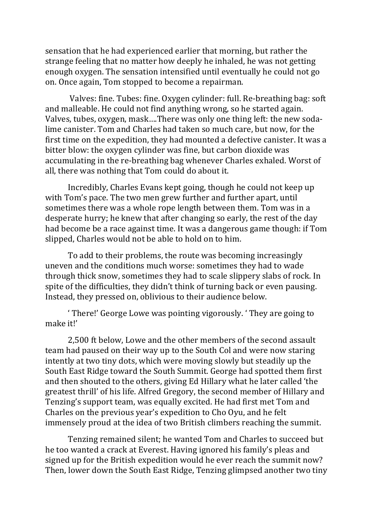sensation that he had experienced earlier that morning, but rather the strange feeling that no matter how deeply he inhaled, he was not getting enough oxygen. The sensation intensified until eventually he could not go on. Once again, Tom stopped to become a repairman.

Valves: fine. Tubes: fine. Oxygen cylinder: full. Re-breathing bag: soft and malleable. He could not find anything wrong, so he started again. Valves, tubes, oxygen, mask....There was only one thing left: the new sodalime canister. Tom and Charles had taken so much care, but now, for the first time on the expedition, they had mounted a defective canister. It was a bitter blow: the oxygen cylinder was fine, but carbon dioxide was accumulating in the re-breathing bag whenever Charles exhaled. Worst of all, there was nothing that Tom could do about it.

Incredibly, Charles Evans kept going, though he could not keep up with Tom's pace. The two men grew further and further apart, until sometimes there was a whole rope length between them. Tom was in a desperate hurry; he knew that after changing so early, the rest of the day had become be a race against time. It was a dangerous game though: if Tom slipped, Charles would not be able to hold on to him.

To add to their problems, the route was becoming increasingly uneven and the conditions much worse: sometimes they had to wade through thick snow, sometimes they had to scale slippery slabs of rock. In spite of the difficulties, they didn't think of turning back or even pausing. Instead, they pressed on, oblivious to their audience below.

' There!' George Lowe was pointing vigorously. ' They are going to make it!'

2,500 ft below, Lowe and the other members of the second assault team had paused on their way up to the South Col and were now staring intently at two tiny dots, which were moving slowly but steadily up the South East Ridge toward the South Summit. George had spotted them first and then shouted to the others, giving Ed Hillary what he later called 'the greatest thrill' of his life. Alfred Gregory, the second member of Hillary and Tenzing's support team, was equally excited. He had first met Tom and Charles on the previous year's expedition to Cho Oyu, and he felt immensely proud at the idea of two British climbers reaching the summit.

Tenzing remained silent; he wanted Tom and Charles to succeed but he too wanted a crack at Everest. Having ignored his family's pleas and signed up for the British expedition would he ever reach the summit now? Then, lower down the South East Ridge, Tenzing glimpsed another two tiny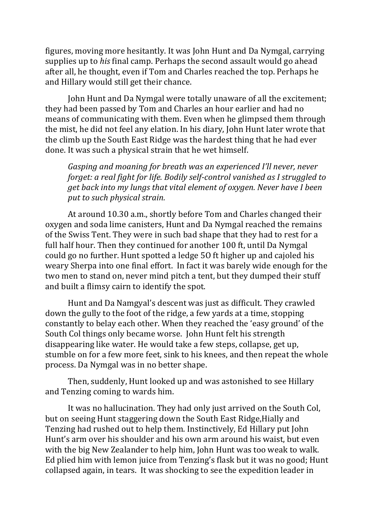figures, moving more hesitantly. It was John Hunt and Da Nymgal, carrying supplies up to *his* final camp. Perhaps the second assault would go ahead after all, he thought, even if Tom and Charles reached the top. Perhaps he and Hillary would still get their chance.

John Hunt and Da Nymgal were totally unaware of all the excitement; they had been passed by Tom and Charles an hour earlier and had no means of communicating with them. Even when he glimpsed them through the mist, he did not feel any elation. In his diary, John Hunt later wrote that the climb up the South East Ridge was the hardest thing that he had ever done. It was such a physical strain that he wet himself.

*Gasping and moaning for breath was an experienced I'll never, never forget: a real fight for life. Bodily self-control vanished as I struggled to get back into my lungs that vital element of oxygen. Never have I been* put to such physical strain.

At around 10.30 a.m., shortly before Tom and Charles changed their oxygen and soda lime canisters, Hunt and Da Nymgal reached the remains of the Swiss Tent. They were in such bad shape that they had to rest for a full half hour. Then they continued for another 100 ft, until Da Nymgal could go no further. Hunt spotted a ledge 50 ft higher up and cajoled his weary Sherpa into one final effort. In fact it was barely wide enough for the two men to stand on, never mind pitch a tent, but they dumped their stuff and built a flimsy cairn to identify the spot.

Hunt and Da Namgyal's descent was just as difficult. They crawled down the gully to the foot of the ridge, a few yards at a time, stopping constantly to belay each other. When they reached the 'easy ground' of the South Col things only became worse. John Hunt felt his strength disappearing like water. He would take a few steps, collapse, get up, stumble on for a few more feet, sink to his knees, and then repeat the whole process. Da Nymgal was in no better shape.

Then, suddenly, Hunt looked up and was astonished to see Hillary and Tenzing coming to wards him.

It was no hallucination. They had only just arrived on the South Col, but on seeing Hunt staggering down the South East Ridge, Hially and Tenzing had rushed out to help them. Instinctively, Ed Hillary put John Hunt's arm over his shoulder and his own arm around his waist, but even with the big New Zealander to help him, John Hunt was too weak to walk. Ed plied him with lemon juice from Tenzing's flask but it was no good; Hunt collapsed again, in tears. It was shocking to see the expedition leader in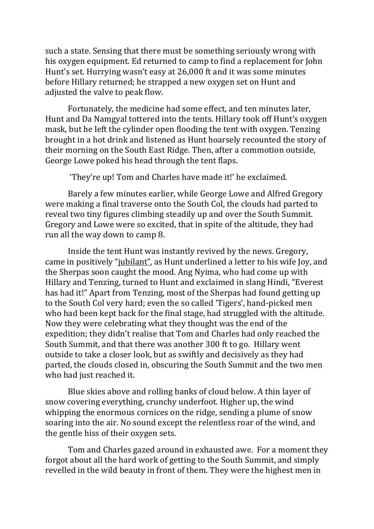such a state. Sensing that there must be something seriously wrong with his oxygen equipment. Ed returned to camp to find a replacement for John Hunt's set. Hurrying wasn't easy at 26,000 ft and it was some minutes before Hillary returned; he strapped a new oxygen set on Hunt and adjusted the valve to peak flow.

Fortunately, the medicine had some effect, and ten minutes later, Hunt and Da Namgyal tottered into the tents. Hillary took off Hunt's oxygen mask, but he left the cylinder open flooding the tent with oxygen. Tenzing brought in a hot drink and listened as Hunt hoarsely recounted the story of their morning on the South East Ridge. Then, after a commotion outside, George Lowe poked his head through the tent flaps.

"They're up! Tom and Charles have made it!' he exclaimed.

Barely a few minutes earlier, while George Lowe and Alfred Gregory were making a final traverse onto the South Col, the clouds had parted to reveal two tiny figures climbing steadily up and over the South Summit. Gregory and Lowe were so excited, that in spite of the altitude, they had run all the way down to camp 8.

Inside the tent Hunt was instantly revived by the news. Gregory, came in positively "jubilant", as Hunt underlined a letter to his wife Joy, and the Sherpas soon caught the mood. Ang Nyima, who had come up with Hillary and Tenzing, turned to Hunt and exclaimed in slang Hindi, "Everest" has had it!" Apart from Tenzing, most of the Sherpas had found getting up to the South Col very hard; even the so called 'Tigers', hand-picked men who had been kept back for the final stage, had struggled with the altitude. Now they were celebrating what they thought was the end of the expedition; they didn't realise that Tom and Charles had only reached the South Summit, and that there was another 300 ft to go. Hillary went outside to take a closer look, but as swiftly and decisively as they had parted, the clouds closed in, obscuring the South Summit and the two men who had just reached it.

Blue skies above and rolling banks of cloud below. A thin layer of snow covering everything, crunchy underfoot. Higher up, the wind whipping the enormous cornices on the ridge, sending a plume of snow soaring into the air. No sound except the relentless roar of the wind, and the gentle hiss of their oxygen sets.

Tom and Charles gazed around in exhausted awe. For a moment they forgot about all the hard work of getting to the South Summit, and simply revelled in the wild beauty in front of them. They were the highest men in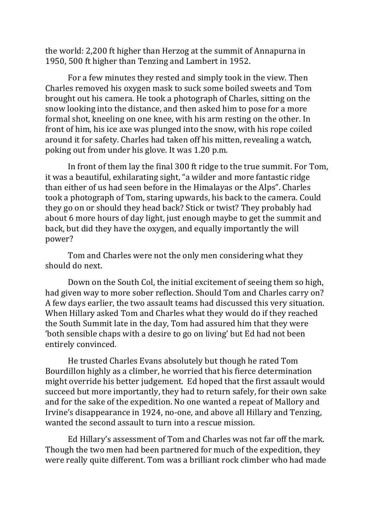the world: 2,200 ft higher than Herzog at the summit of Annapurna in 1950, 500 ft higher than Tenzing and Lambert in 1952.

For a few minutes they rested and simply took in the view. Then Charles removed his oxygen mask to suck some boiled sweets and Tom brought out his camera. He took a photograph of Charles, sitting on the snow looking into the distance, and then asked him to pose for a more formal shot, kneeling on one knee, with his arm resting on the other. In front of him, his ice axe was plunged into the snow, with his rope coiled around it for safety. Charles had taken off his mitten, revealing a watch, poking out from under his glove. It was 1.20 p.m.

In front of them lay the final 300 ft ridge to the true summit. For Tom, it was a beautiful, exhilarating sight, "a wilder and more fantastic ridge than either of us had seen before in the Himalayas or the Alps". Charles took a photograph of Tom, staring upwards, his back to the camera. Could they go on or should they head back? Stick or twist? They probably had about 6 more hours of day light, just enough maybe to get the summit and back, but did they have the oxygen, and equally importantly the will power?

Tom and Charles were not the only men considering what they should do next.

Down on the South Col, the initial excitement of seeing them so high, had given way to more sober reflection. Should Tom and Charles carry on? A few days earlier, the two assault teams had discussed this very situation. When Hillary asked Tom and Charles what they would do if they reached the South Summit late in the day, Tom had assured him that they were 'both sensible chaps with a desire to go on living' but Ed had not been entirely convinced.

He trusted Charles Evans absolutely but though he rated Tom Bourdillon highly as a climber, he worried that his fierce determination might override his better judgement. Ed hoped that the first assault would succeed but more importantly, they had to return safely, for their own sake and for the sake of the expedition. No one wanted a repeat of Mallory and Irvine's disappearance in 1924, no-one, and above all Hillary and Tenzing, wanted the second assault to turn into a rescue mission.

Ed Hillary's assessment of Tom and Charles was not far off the mark. Though the two men had been partnered for much of the expedition, they were really quite different. Tom was a brilliant rock climber who had made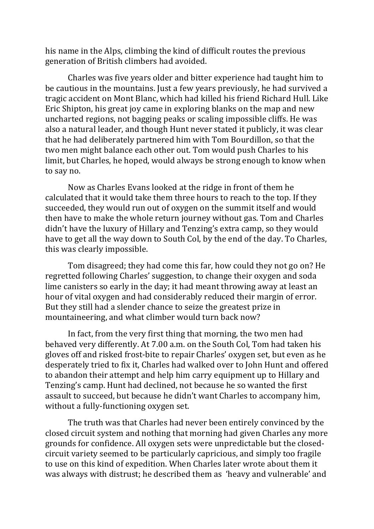his name in the Alps, climbing the kind of difficult routes the previous generation of British climbers had avoided.

Charles was five years older and bitter experience had taught him to be cautious in the mountains. Just a few years previously, he had survived a tragic accident on Mont Blanc, which had killed his friend Richard Hull. Like Eric Shipton, his great joy came in exploring blanks on the map and new uncharted regions, not bagging peaks or scaling impossible cliffs. He was also a natural leader, and though Hunt never stated it publicly, it was clear that he had deliberately partnered him with Tom Bourdillon, so that the two men might balance each other out. Tom would push Charles to his limit, but Charles, he hoped, would always be strong enough to know when to say no.

Now as Charles Evans looked at the ridge in front of them he calculated that it would take them three hours to reach to the top. If they succeeded, they would run out of oxygen on the summit itself and would then have to make the whole return journey without gas. Tom and Charles didn't have the luxury of Hillary and Tenzing's extra camp, so they would have to get all the way down to South Col, by the end of the day. To Charles, this was clearly impossible.

Tom disagreed; they had come this far, how could they not go on? He regretted following Charles' suggestion, to change their oxygen and soda lime canisters so early in the day; it had meant throwing away at least an hour of vital oxygen and had considerably reduced their margin of error. But they still had a slender chance to seize the greatest prize in mountaineering, and what climber would turn back now?

In fact, from the very first thing that morning, the two men had behaved very differently. At 7.00 a.m. on the South Col, Tom had taken his gloves off and risked frost-bite to repair Charles' oxygen set, but even as he desperately tried to fix it, Charles had walked over to John Hunt and offered to abandon their attempt and help him carry equipment up to Hillary and Tenzing's camp. Hunt had declined, not because he so wanted the first assault to succeed, but because he didn't want Charles to accompany him, without a fully-functioning oxygen set.

The truth was that Charles had never been entirely convinced by the closed circuit system and nothing that morning had given Charles any more grounds for confidence. All oxygen sets were unpredictable but the closedcircuit variety seemed to be particularly capricious, and simply too fragile to use on this kind of expedition. When Charles later wrote about them it was always with distrust; he described them as 'heavy and vulnerable' and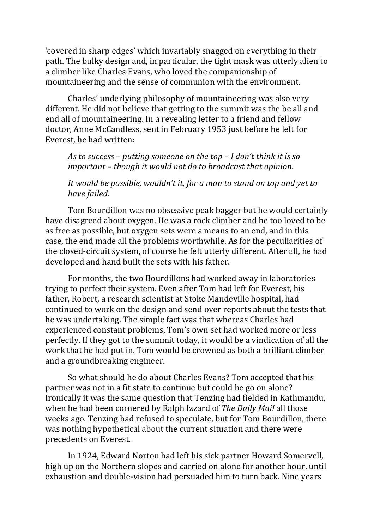'covered in sharp edges' which invariably snagged on everything in their path. The bulky design and, in particular, the tight mask was utterly alien to a climber like Charles Evans, who loved the companionship of mountaineering and the sense of communion with the environment.

Charles' underlying philosophy of mountaineering was also very different. He did not believe that getting to the summit was the be all and end all of mountaineering. In a revealing letter to a friend and fellow doctor, Anne McCandless, sent in February 1953 just before he left for Everest, he had written:

*As to success* – *putting someone on the top* – *I* don't think it is so *important* – *though it* would not do to broadcast that opinion.

It would be possible, wouldn't it, for a man to stand on top and yet to *have failed.*

Tom Bourdillon was no obsessive peak bagger but he would certainly have disagreed about oxygen. He was a rock climber and he too loved to be as free as possible, but oxygen sets were a means to an end, and in this case, the end made all the problems worthwhile. As for the peculiarities of the closed-circuit system, of course he felt utterly different. After all, he had developed and hand built the sets with his father.

For months, the two Bourdillons had worked away in laboratories trying to perfect their system. Even after Tom had left for Everest, his father, Robert, a research scientist at Stoke Mandeville hospital, had continued to work on the design and send over reports about the tests that he was undertaking. The simple fact was that whereas Charles had experienced constant problems, Tom's own set had worked more or less perfectly. If they got to the summit today, it would be a vindication of all the work that he had put in. Tom would be crowned as both a brilliant climber and a groundbreaking engineer.

So what should he do about Charles Evans? Tom accepted that his partner was not in a fit state to continue but could he go on alone? Ironically it was the same question that Tenzing had fielded in Kathmandu, when he had been cornered by Ralph Izzard of *The Daily Mail* all those weeks ago. Tenzing had refused to speculate, but for Tom Bourdillon, there was nothing hypothetical about the current situation and there were precedents on Everest.

In 1924, Edward Norton had left his sick partner Howard Somervell, high up on the Northern slopes and carried on alone for another hour, until exhaustion and double-vision had persuaded him to turn back. Nine years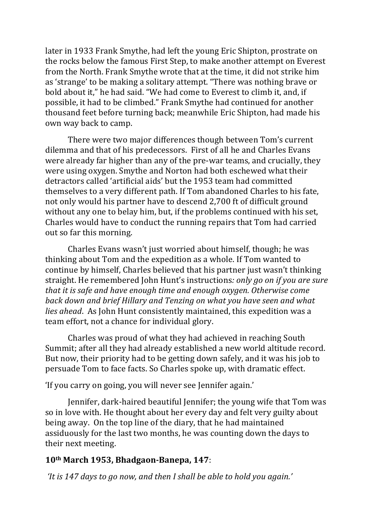later in 1933 Frank Smythe, had left the young Eric Shipton, prostrate on the rocks below the famous First Step, to make another attempt on Everest from the North. Frank Smythe wrote that at the time, it did not strike him as 'strange' to be making a solitary attempt. "There was nothing brave or bold about it," he had said. "We had come to Everest to climb it, and, if possible, it had to be climbed." Frank Smythe had continued for another thousand feet before turning back; meanwhile Eric Shipton, had made his own way back to camp.

There were two major differences though between Tom's current dilemma and that of his predecessors. First of all he and Charles Evans were already far higher than any of the pre-war teams, and crucially, they were using oxygen. Smythe and Norton had both eschewed what their detractors called 'artificial aids' but the 1953 team had committed themselves to a very different path. If Tom abandoned Charles to his fate, not only would his partner have to descend 2,700 ft of difficult ground without any one to belay him, but, if the problems continued with his set, Charles would have to conduct the running repairs that Tom had carried out so far this morning.

Charles Evans wasn't just worried about himself, though; he was thinking about Tom and the expedition as a whole. If Tom wanted to continue by himself, Charles believed that his partner just wasn't thinking straight. He remembered John Hunt's instructions: *only go on if you are sure that it is safe and have enough time and enough oxygen. Otherwise come back down and brief Hillary and Tenzing on what you have seen and what lies ahead.* As John Hunt consistently maintained, this expedition was a team effort, not a chance for individual glory.

Charles was proud of what they had achieved in reaching South Summit; after all they had already established a new world altitude record. But now, their priority had to be getting down safely, and it was his job to persuade Tom to face facts. So Charles spoke up, with dramatic effect.

'If you carry on going, you will never see Jennifer again.'

Jennifer, dark-haired beautiful Jennifer; the voung wife that Tom was so in love with. He thought about her every day and felt very guilty about being away. On the top line of the diary, that he had maintained assiduously for the last two months, he was counting down the days to their next meeting.

# **10th March 1953, Bhadgaon-Banepa, 147**:

*'It is* 147 days to go now, and then I shall be able to hold you again.'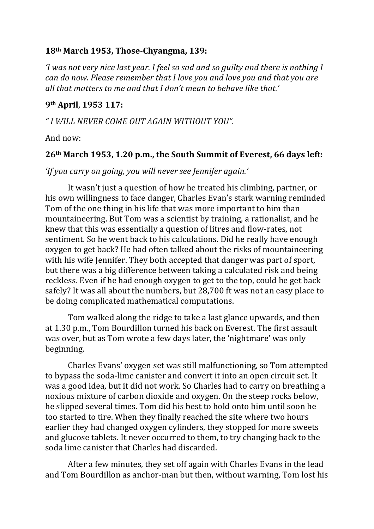## **18th March 1953, Those-Chyangma, 139:**

*'I* was not very nice last year. I feel so sad and so quilty and there is nothing I *can do now. Please remember that I love you and love you and that you are* all that matters to me and that I don't mean to hehave like that.'

#### **9th April**, **1953 117:**

*" I WILL NEVER COME OUT AGAIN WITHOUT YOU".* 

And now:

#### **26th March 1953, 1.20 p.m., the South Summit of Everest, 66 days left:**

*'If you carry on going, you will never see Jennifer again.'* 

It wasn't just a question of how he treated his climbing, partner, or his own willingness to face danger, Charles Evan's stark warning reminded Tom of the one thing in his life that was more important to him than mountaineering. But Tom was a scientist by training, a rationalist, and he knew that this was essentially a question of litres and flow-rates, not sentiment. So he went back to his calculations. Did he really have enough oxygen to get back? He had often talked about the risks of mountaineering with his wife Jennifer. They both accepted that danger was part of sport, but there was a big difference between taking a calculated risk and being reckless. Even if he had enough oxygen to get to the top, could he get back safely? It was all about the numbers, but 28,700 ft was not an easy place to be doing complicated mathematical computations.

Tom walked along the ridge to take a last glance upwards, and then at 1.30 p.m., Tom Bourdillon turned his back on Everest. The first assault was over, but as Tom wrote a few days later, the 'nightmare' was only beginning. 

Charles Evans' oxygen set was still malfunctioning, so Tom attempted to bypass the soda-lime canister and convert it into an open circuit set. It was a good idea, but it did not work. So Charles had to carry on breathing a noxious mixture of carbon dioxide and oxygen. On the steep rocks below, he slipped several times. Tom did his best to hold onto him until soon he too started to tire. When they finally reached the site where two hours earlier they had changed oxygen cylinders, they stopped for more sweets and glucose tablets. It never occurred to them, to try changing back to the soda lime canister that Charles had discarded.

After a few minutes, they set off again with Charles Evans in the lead and Tom Bourdillon as anchor-man but then, without warning, Tom lost his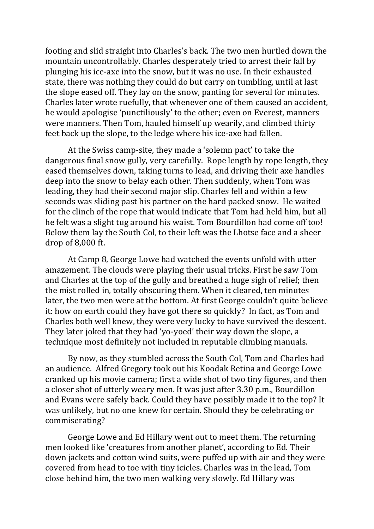footing and slid straight into Charles's back. The two men hurtled down the mountain uncontrollably. Charles desperately tried to arrest their fall by plunging his ice-axe into the snow, but it was no use. In their exhausted state, there was nothing they could do but carry on tumbling, until at last the slope eased off. They lay on the snow, panting for several for minutes. Charles later wrote ruefully, that whenever one of them caused an accident, he would apologise 'punctiliously' to the other; even on Everest, manners were manners. Then Tom, hauled himself up wearily, and climbed thirty feet back up the slope, to the ledge where his ice-axe had fallen.

At the Swiss camp-site, they made a 'solemn pact' to take the dangerous final snow gully, very carefully. Rope length by rope length, they eased themselves down, taking turns to lead, and driving their axe handles deep into the snow to belay each other. Then suddenly, when Tom was leading, they had their second major slip. Charles fell and within a few seconds was sliding past his partner on the hard packed snow. He waited for the clinch of the rope that would indicate that Tom had held him, but all he felt was a slight tug around his waist. Tom Bourdillon had come off too! Below them lay the South Col, to their left was the Lhotse face and a sheer drop of 8,000 ft.

At Camp 8, George Lowe had watched the events unfold with utter amazement. The clouds were playing their usual tricks. First he saw Tom and Charles at the top of the gully and breathed a huge sigh of relief; then the mist rolled in, totally obscuring them. When it cleared, ten minutes later, the two men were at the bottom. At first George couldn't quite believe it: how on earth could they have got there so quickly? In fact, as Tom and Charles both well knew, they were very lucky to have survived the descent. They later joked that they had 'yo-yoed' their way down the slope, a technique most definitely not included in reputable climbing manuals.

By now, as they stumbled across the South Col, Tom and Charles had an audience. Alfred Gregory took out his Koodak Retina and George Lowe cranked up his movie camera; first a wide shot of two tiny figures, and then a closer shot of utterly weary men. It was just after 3.30 p.m., Bourdillon and Evans were safely back. Could they have possibly made it to the top? It was unlikely, but no one knew for certain. Should they be celebrating or commiserating?

George Lowe and Ed Hillary went out to meet them. The returning men looked like 'creatures from another planet', according to Ed. Their down jackets and cotton wind suits, were puffed up with air and they were covered from head to toe with tiny icicles. Charles was in the lead, Tom close behind him, the two men walking very slowly. Ed Hillary was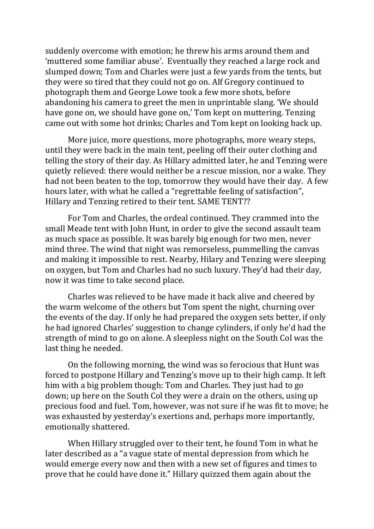suddenly overcome with emotion; he threw his arms around them and 'muttered some familiar abuse'. Eventually they reached a large rock and slumped down; Tom and Charles were just a few yards from the tents, but they were so tired that they could not go on. Alf Gregory continued to photograph them and George Lowe took a few more shots, before abandoning his camera to greet the men in unprintable slang. 'We should have gone on, we should have gone on,' Tom kept on muttering. Tenzing came out with some hot drinks; Charles and Tom kept on looking back up.

More juice, more questions, more photographs, more weary steps, until they were back in the main tent, peeling off their outer clothing and telling the story of their day. As Hillary admitted later, he and Tenzing were quietly relieved: there would neither be a rescue mission, nor a wake. They had not been beaten to the top, tomorrow they would have their day. A few hours later, with what he called a "regrettable feeling of satisfaction", Hillary and Tenzing retired to their tent. SAME TENT??

For Tom and Charles, the ordeal continued. They crammed into the small Meade tent with John Hunt, in order to give the second assault team as much space as possible. It was barely big enough for two men, never mind three. The wind that night was remorseless, pummelling the canvas and making it impossible to rest. Nearby, Hilary and Tenzing were sleeping on oxygen, but Tom and Charles had no such luxury. They'd had their day, now it was time to take second place.

Charles was relieved to be have made it back alive and cheered by the warm welcome of the others but Tom spent the night, churning over the events of the day. If only he had prepared the oxygen sets better, if only he had ignored Charles' suggestion to change cylinders, if only he'd had the strength of mind to go on alone. A sleepless night on the South Col was the last thing he needed.

On the following morning, the wind was so ferocious that Hunt was forced to postpone Hillary and Tenzing's move up to their high camp. It left him with a big problem though: Tom and Charles. They just had to go down; up here on the South Col they were a drain on the others, using up precious food and fuel. Tom, however, was not sure if he was fit to move; he was exhausted by yesterday's exertions and, perhaps more importantly, emotionally shattered.

When Hillary struggled over to their tent, he found Tom in what he later described as a "a vague state of mental depression from which he would emerge every now and then with a new set of figures and times to prove that he could have done it." Hillary quizzed them again about the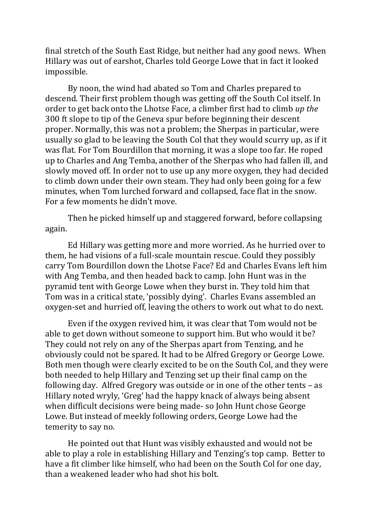final stretch of the South East Ridge, but neither had any good news. When Hillary was out of earshot, Charles told George Lowe that in fact it looked impossible. 

By noon, the wind had abated so Tom and Charles prepared to descend. Their first problem though was getting off the South Col itself. In order to get back onto the Lhotse Face, a climber first had to climb up the 300 ft slope to tip of the Geneva spur before beginning their descent proper. Normally, this was not a problem; the Sherpas in particular, were usually so glad to be leaving the South Col that they would scurry up, as if it was flat. For Tom Bourdillon that morning, it was a slope too far. He roped up to Charles and Ang Temba, another of the Sherpas who had fallen ill, and slowly moved off. In order not to use up any more oxygen, they had decided to climb down under their own steam. They had only been going for a few minutes, when Tom lurched forward and collapsed, face flat in the snow. For a few moments he didn't move.

Then he picked himself up and staggered forward, before collapsing again. 

Ed Hillary was getting more and more worried. As he hurried over to them, he had visions of a full-scale mountain rescue. Could they possibly carry Tom Bourdillon down the Lhotse Face? Ed and Charles Evans left him with Ang Temba, and then headed back to camp. John Hunt was in the pyramid tent with George Lowe when they burst in. They told him that Tom was in a critical state, 'possibly dying'. Charles Evans assembled an oxygen-set and hurried off, leaving the others to work out what to do next.

Even if the oxygen revived him, it was clear that Tom would not be able to get down without someone to support him. But who would it be? They could not rely on any of the Sherpas apart from Tenzing, and he obviously could not be spared. It had to be Alfred Gregory or George Lowe. Both men though were clearly excited to be on the South Col, and they were both needed to help Hillary and Tenzing set up their final camp on the following day. Alfred Gregory was outside or in one of the other tents  $-$  as Hillary noted wryly, 'Greg' had the happy knack of always being absent when difficult decisions were being made- so John Hunt chose George Lowe. But instead of meekly following orders, George Lowe had the temerity to say no.

He pointed out that Hunt was visibly exhausted and would not be able to play a role in establishing Hillary and Tenzing's top camp. Better to have a fit climber like himself, who had been on the South Col for one day, than a weakened leader who had shot his holt.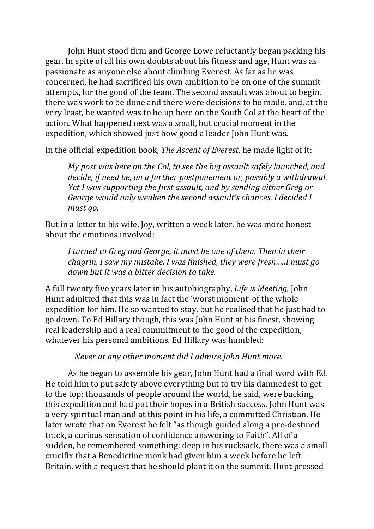John Hunt stood firm and George Lowe reluctantly began packing his gear. In spite of all his own doubts about his fitness and age, Hunt was as passionate as anyone else about climbing Everest. As far as he was concerned, he had sacrificed his own ambition to be on one of the summit attempts, for the good of the team. The second assault was about to begin. there was work to be done and there were decisions to be made, and, at the very least, he wanted was to be up here on the South Col at the heart of the action. What happened next was a small, but crucial moment in the expedition, which showed just how good a leader John Hunt was.

In the official expedition book, *The Ascent of Everest*, he made light of it:

*My post was here on the Col, to see the big assault safely launched, and decide, if need be, on a further postponement or, possibly a withdrawal.* Yet I was supporting the first assault, and by sending either Greg or George would only weaken the second assault's chances. I decided I *must go*.

But in a letter to his wife, Joy, written a week later, he was more honest about the emotions involved:

*I* turned to Greg and George, it must be one of them. Then in their *chagrin, I saw my mistake. I was finished, they were fresh.....I must go down but it was a bitter decision to take.* 

A full twenty five years later in his autobiography, *Life is Meeting*, John Hunt admitted that this was in fact the 'worst moment' of the whole expedition for him. He so wanted to stay, but he realised that he just had to go down. To Ed Hillary though, this was John Hunt at his finest, showing real leadership and a real commitment to the good of the expedition, whatever his personal ambitions. Ed Hillary was humbled:

## *Never at any other moment did I admire John Hunt more.*

As he began to assemble his gear, John Hunt had a final word with Ed. He told him to put safety above everything but to try his damnedest to get to the top; thousands of people around the world, he said, were backing this expedition and had put their hopes in a British success. John Hunt was a very spiritual man and at this point in his life, a committed Christian. He later wrote that on Everest he felt "as though guided along a pre-destined track, a curious sensation of confidence answering to Faith". All of a sudden, he remembered something: deep in his rucksack, there was a small crucifix that a Benedictine monk had given him a week before he left Britain, with a request that he should plant it on the summit. Hunt pressed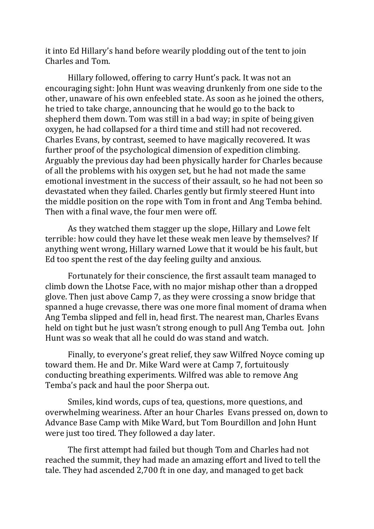it into Ed Hillary's hand before wearily plodding out of the tent to join Charles and Tom.

Hillary followed, offering to carry Hunt's pack. It was not an encouraging sight: John Hunt was weaving drunkenly from one side to the other, unaware of his own enfeebled state. As soon as he joined the others, he tried to take charge, announcing that he would go to the back to shepherd them down. Tom was still in a bad way; in spite of being given oxygen, he had collapsed for a third time and still had not recovered. Charles Evans, by contrast, seemed to have magically recovered. It was further proof of the psychological dimension of expedition climbing. Arguably the previous day had been physically harder for Charles because of all the problems with his oxygen set, but he had not made the same emotional investment in the success of their assault, so he had not been so devastated when they failed. Charles gently but firmly steered Hunt into the middle position on the rope with Tom in front and Ang Temba behind. Then with a final wave, the four men were off.

As they watched them stagger up the slope, Hillary and Lowe felt terrible: how could they have let these weak men leave by themselves? If anything went wrong, Hillary warned Lowe that it would be his fault, but Ed too spent the rest of the day feeling guilty and anxious.

Fortunately for their conscience, the first assault team managed to climb down the Lhotse Face, with no major mishap other than a dropped glove. Then just above Camp 7, as they were crossing a snow bridge that spanned a huge crevasse, there was one more final moment of drama when Ang Temba slipped and fell in, head first. The nearest man, Charles Evans held on tight but he just wasn't strong enough to pull Ang Temba out. John Hunt was so weak that all he could do was stand and watch.

Finally, to everyone's great relief, they saw Wilfred Noyce coming up toward them. He and Dr. Mike Ward were at Camp 7, fortuitously conducting breathing experiments. Wilfred was able to remove Ang Temba's pack and haul the poor Sherpa out.

Smiles, kind words, cups of tea, questions, more questions, and overwhelming weariness. After an hour Charles Evans pressed on, down to Advance Base Camp with Mike Ward, but Tom Bourdillon and John Hunt were just too tired. They followed a day later.

The first attempt had failed but though Tom and Charles had not reached the summit, they had made an amazing effort and lived to tell the tale. They had ascended 2,700 ft in one day, and managed to get back